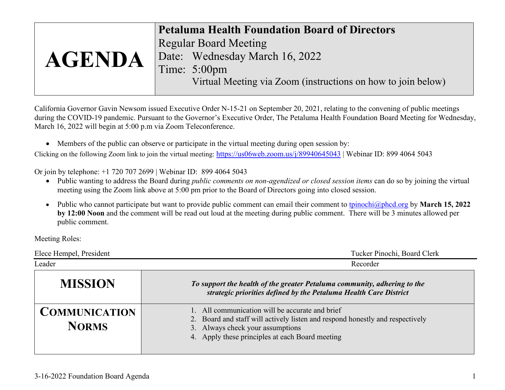| <b>Petaluma Health Foundation Board of Directors</b>           |  |
|----------------------------------------------------------------|--|
| <b>Regular Board Meeting</b><br>Date: Wednesday March 16, 2022 |  |
|                                                                |  |
|                                                                |  |
|                                                                |  |
| <b>AGENDA</b><br>Time: 5:00pm                                  |  |

California Governor Gavin Newsom issued Executive Order N-15-21 on September 20, 2021, relating to the convening of public meetings during the COVID-19 pandemic. Pursuant to the Governor's Executive Order, The Petaluma Health Foundation Board Meeting for Wednesday, March 16, 2022 will begin at 5:00 p.m via Zoom Teleconference.

• Members of the public can observe or participate in the virtual meeting during open session by:

Clicking on the following Zoom link to join the virtual meeting:<https://us06web.zoom.us/j/89940645043> | Webinar ID: 899 4064 5043

Or join by telephone: +1 720 707 2699 | Webinar ID: 899 4064 5043

- Public wanting to address the Board during *public comments on non-agendized or closed session items* can do so by joining the virtual meeting using the Zoom link above at 5:00 pm prior to the Board of Directors going into closed session.
- Public who cannot participate but want to provide public comment can email their comment to [tpinochi@phcd.org](mailto:tpinochi@phcd.org) by **March 15, 2022 by 12:00 Noon** and the comment will be read out loud at the meeting during public comment. There will be 3 minutes allowed per public comment.

Meeting Roles:

| Elece Hempel, President              | Tucker Pinochi, Board Clerk                                                                                                                                                                                             |  |
|--------------------------------------|-------------------------------------------------------------------------------------------------------------------------------------------------------------------------------------------------------------------------|--|
| Leader                               | Recorder                                                                                                                                                                                                                |  |
| <b>MISSION</b>                       | To support the health of the greater Petaluma community, adhering to the<br>strategic priorities defined by the Petaluma Health Care District                                                                           |  |
| <b>COMMUNICATION</b><br><b>NORMS</b> | 1. All communication will be accurate and brief<br>2. Board and staff will actively listen and respond honestly and respectively<br>3. Always check your assumptions<br>4. Apply these principles at each Board meeting |  |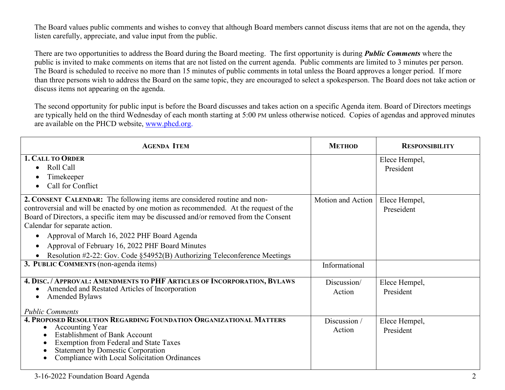The Board values public comments and wishes to convey that although Board members cannot discuss items that are not on the agenda, they listen carefully, appreciate, and value input from the public.

There are two opportunities to address the Board during the Board meeting. The first opportunity is during *Public Comments* where the public is invited to make comments on items that are not listed on the current agenda. Public comments are limited to 3 minutes per person. The Board is scheduled to receive no more than 15 minutes of public comments in total unless the Board approves a longer period. If more than three persons wish to address the Board on the same topic, they are encouraged to select a spokesperson. The Board does not take action or discuss items not appearing on the agenda.

The second opportunity for public input is before the Board discusses and takes action on a specific Agenda item. Board of Directors meetings are typically held on the third Wednesday of each month starting at 5:00 PM unless otherwise noticed. Copies of agendas and approved minutes are available on the PHCD website, [www.phcd.org.](http://www.phcd.org/)

| <b>AGENDA ITEM</b>                                                                                                                                                                                                                                                                                                                                                                                                                                                                     | <b>METHOD</b>          | <b>RESPONSIBILITY</b>       |
|----------------------------------------------------------------------------------------------------------------------------------------------------------------------------------------------------------------------------------------------------------------------------------------------------------------------------------------------------------------------------------------------------------------------------------------------------------------------------------------|------------------------|-----------------------------|
| <b>1. CALL TO ORDER</b><br>Roll Call<br>Timekeeper<br>Call for Conflict                                                                                                                                                                                                                                                                                                                                                                                                                |                        | Elece Hempel,<br>President  |
| 2. CONSENT CALENDAR: The following items are considered routine and non-<br>controversial and will be enacted by one motion as recommended. At the request of the<br>Board of Directors, a specific item may be discussed and/or removed from the Consent<br>Calendar for separate action.<br>Approval of March 16, 2022 PHF Board Agenda<br>Approval of February 16, 2022 PHF Board Minutes<br>$\bullet$<br>Resolution #2-22: Gov. Code §54952(B) Authorizing Teleconference Meetings | Motion and Action      | Elece Hempel,<br>Preseident |
| 3. PUBLIC COMMENTS (non-agenda items)                                                                                                                                                                                                                                                                                                                                                                                                                                                  | Informational          |                             |
| 4. DISC. / APPROVAL: AMENDMENTS TO PHF ARTICLES OF INCORPORATION, BYLAWS<br>Amended and Restated Articles of Incorporation<br><b>Amended Bylaws</b><br><b>Public Comments</b>                                                                                                                                                                                                                                                                                                          | Discussion/<br>Action  | Elece Hempel,<br>President  |
| 4. PROPOSED RESOLUTION REGARDING FOUNDATION ORGANIZATIONAL MATTERS<br><b>Accounting Year</b><br><b>Establishment of Bank Account</b><br><b>Exemption from Federal and State Taxes</b><br><b>Statement by Domestic Corporation</b><br>Compliance with Local Solicitation Ordinances                                                                                                                                                                                                     | Discussion /<br>Action | Elece Hempel,<br>President  |